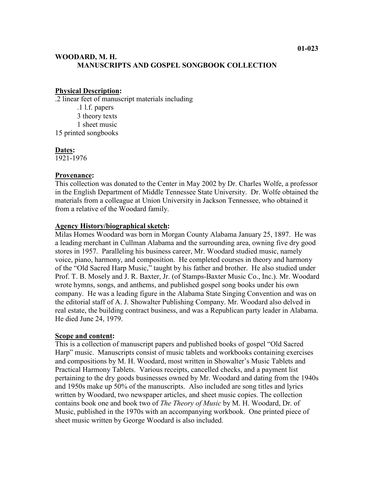# **WOODARD, M. H. MANUSCRIPTS AND GOSPEL SONGBOOK COLLECTION**

### **Physical Description:**

.2 linear feet of manuscript materials including

.1 l.f. papers 3 theory texts 1 sheet music 15 printed songbooks

### **Dates:**

1921-1976

### **Provenance:**

This collection was donated to the Center in May 2002 by Dr. Charles Wolfe, a professor in the English Department of Middle Tennessee State University. Dr. Wolfe obtained the materials from a colleague at Union University in Jackson Tennessee, who obtained it from a relative of the Woodard family.

### **Agency History/biographical sketch:**

Milas Homes Woodard was born in Morgan County Alabama January 25, 1897. He was a leading merchant in Cullman Alabama and the surrounding area, owning five dry good stores in 1957. Paralleling his business career, Mr. Woodard studied music, namely voice, piano, harmony, and composition. He completed courses in theory and harmony of the "Old Sacred Harp Music," taught by his father and brother. He also studied under Prof. T. B. Mosely and J. R. Baxter, Jr. (of Stamps-Baxter Music Co., Inc.). Mr. Woodard wrote hymns, songs, and anthems, and published gospel song books under his own company. He was a leading figure in the Alabama State Singing Convention and was on the editorial staff of A. J. Showalter Publishing Company. Mr. Woodard also delved in real estate, the building contract business, and was a Republican party leader in Alabama. He died June 24, 1979.

#### **Scope and content:**

This is a collection of manuscript papers and published books of gospel "Old Sacred Harp" music. Manuscripts consist of music tablets and workbooks containing exercises and compositions by M. H. Woodard, most written in Showalter's Music Tablets and Practical Harmony Tablets. Various receipts, cancelled checks, and a payment list pertaining to the dry goods businesses owned by Mr. Woodard and dating from the 1940s and 1950s make up 50% of the manuscripts. Also included are song titles and lyrics written by Woodard, two newspaper articles, and sheet music copies. The collection contains book one and book two of *The Theory of Music* by M. H. Woodard, Dr. of Music, published in the 1970s with an accompanying workbook. One printed piece of sheet music written by George Woodard is also included.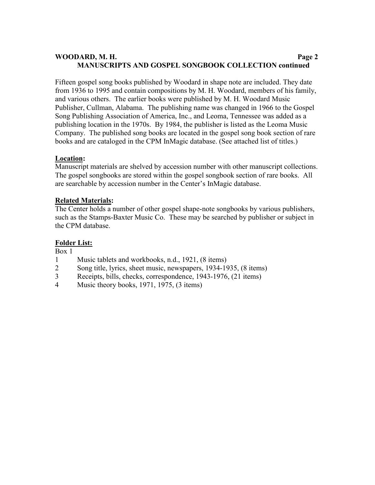# **WOODARD, M. H. Page 2 MANUSCRIPTS AND GOSPEL SONGBOOK COLLECTION continued**

Fifteen gospel song books published by Woodard in shape note are included. They date from 1936 to 1995 and contain compositions by M. H. Woodard, members of his family, and various others. The earlier books were published by M. H. Woodard Music Publisher, Cullman, Alabama. The publishing name was changed in 1966 to the Gospel Song Publishing Association of America, Inc., and Leoma, Tennessee was added as a publishing location in the 1970s. By 1984, the publisher is listed as the Leoma Music Company. The published song books are located in the gospel song book section of rare books and are cataloged in the CPM InMagic database. (See attached list of titles.)

## **Location:**

Manuscript materials are shelved by accession number with other manuscript collections. The gospel songbooks are stored within the gospel songbook section of rare books. All are searchable by accession number in the Center's InMagic database.

### **Related Materials:**

The Center holds a number of other gospel shape-note songbooks by various publishers, such as the Stamps-Baxter Music Co. These may be searched by publisher or subject in the CPM database.

## **Folder List:**

Box 1

- 1 Music tablets and workbooks, n.d., 1921, (8 items)
- 2 Song title, lyrics, sheet music, newspapers, 1934-1935, (8 items)
- 3 Receipts, bills, checks, correspondence, 1943-1976, (21 items)
- 4 Music theory books, 1971, 1975, (3 items)